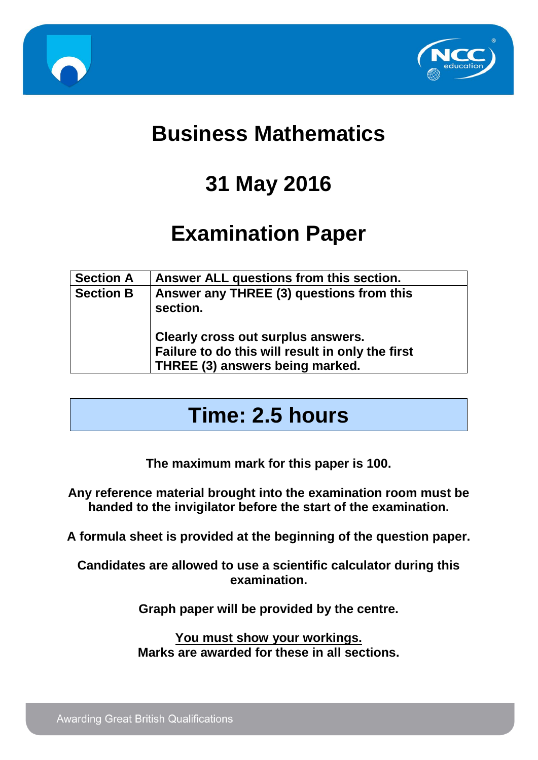



## **Business Mathematics**

# **31 May 2016**

# **Examination Paper**

| <b>Section A</b> | Answer ALL questions from this section.                                                                                   |
|------------------|---------------------------------------------------------------------------------------------------------------------------|
| <b>Section B</b> | Answer any THREE (3) questions from this<br>section.                                                                      |
|                  | Clearly cross out surplus answers.<br>Failure to do this will result in only the first<br>THREE (3) answers being marked. |

### **Time: 2.5 hours**

**The maximum mark for this paper is 100.**

**Any reference material brought into the examination room must be handed to the invigilator before the start of the examination.**

**A formula sheet is provided at the beginning of the question paper.**

**Candidates are allowed to use a scientific calculator during this examination.**

**Graph paper will be provided by the centre.**

**You must show your workings. Marks are awarded for these in all sections.**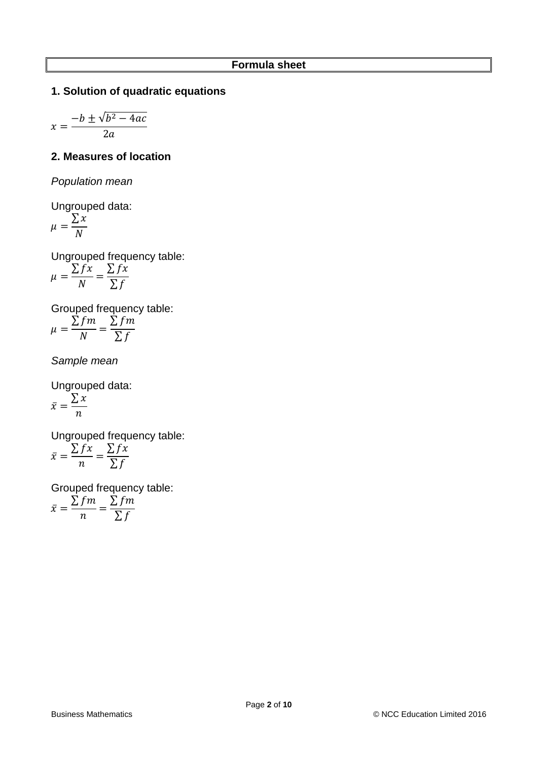#### **1. Solution of quadratic equations**

$$
x = \frac{-b \pm \sqrt{b^2 - 4ac}}{2a}
$$

#### **2. Measures of location**

*Population mean*

Ungrouped data:

$$
\mu = \frac{\sum x}{N}
$$

Ungrouped frequency table:

$$
\mu = \frac{\sum fx}{N} = \frac{\sum fx}{\sum f}
$$

Grouped frequency table:  $\Sigma$ fm  $\Sigma$ fm

$$
\mu = \frac{\sum f}{N} = \frac{\sum f}{\sum f}
$$

*Sample mean*

Ungrouped data:  $\bar{x} =$  $\sum x$  $\boldsymbol{n}$ 

Ungrouped frequency table:  $\bar{x} =$  $\sum fx$  $\boldsymbol{n}$ =  $\sum fx$ ∑f

Grouped frequency table:

$$
\bar{x} = \frac{\sum fm}{n} = \frac{\sum fm}{\sum f}
$$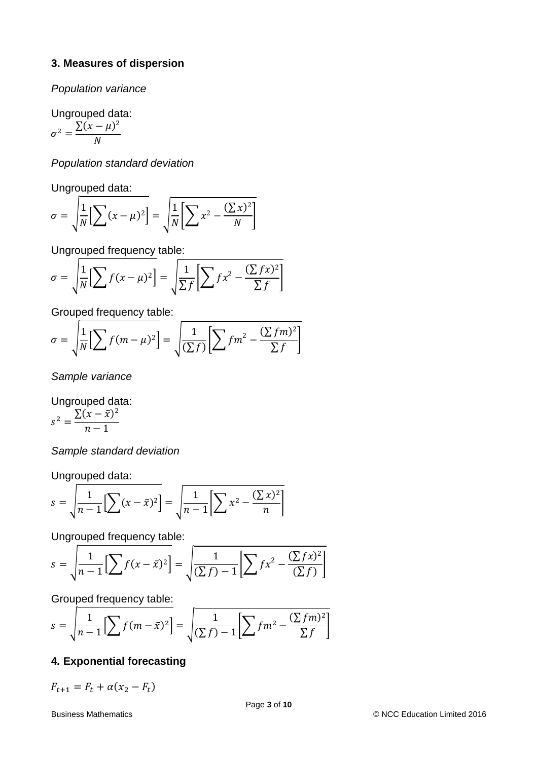#### **3. Measures of dispersion**

*Population variance*

Ungrouped data:

$$
\sigma^2 = \frac{\sum (x - \mu)^2}{N}
$$

*Population standard deviation*

Ungrouped data:

$$
\sigma = \sqrt{\frac{1}{N} \Big[ \sum (x - \mu)^2 \Big] } = \sqrt{\frac{1}{N} \Big[ \sum x^2 - \frac{(\sum x)^2}{N} \Big]}
$$

Ungrouped frequency table:

$$
\sigma = \sqrt{\frac{1}{N} \left[ \sum f(x - \mu)^2 \right]} = \sqrt{\frac{1}{\sum f} \left[ \sum fx^2 - \frac{(\sum fx)^2}{\sum f} \right]}
$$

Grouped frequency table:

$$
\sigma = \sqrt{\frac{1}{N} \Big[ \sum f(m - \mu)^2 \Big]} = \sqrt{\frac{1}{(\sum f)} \Big[ \sum fm^2 - \frac{(\sum fm)^2}{\sum f} \Big]}
$$

*Sample variance*

Ungrouped data:  $s^2 = \frac{\sum (x - \bar{x})^2}{1}$  $n-1$ 

*Sample standard deviation*

Ungrouped data:

$$
s = \sqrt{\frac{1}{n-1} \Big[ \sum (x - \bar{x})^2 \Big] } = \sqrt{\frac{1}{n-1} \Big[ \sum x^2 - \frac{(\sum x)^2}{n} \Big]}
$$

Ungrouped frequency table:

$$
s = \sqrt{\frac{1}{n-1} \Big[ \sum f(x - \bar{x})^2 \Big]} = \sqrt{\frac{1}{(\sum f)^2 - 1} \Big[ \sum f(x^2 - \frac{(\sum fx)^2}{(\sum f)} \Big]}
$$

Grouped frequency table:

$$
s = \sqrt{\frac{1}{n-1} \left[ \sum f(m - \bar{x})^2 \right]} = \sqrt{\frac{1}{(\sum f)^2 - 1} \left[ \sum fm^2 - \frac{(\sum fm)^2}{\sum f} \right]}
$$

#### **4***.* **Exponential forecasting**

 $F_{t+1} = F_t + \alpha (x_2 - F_t)$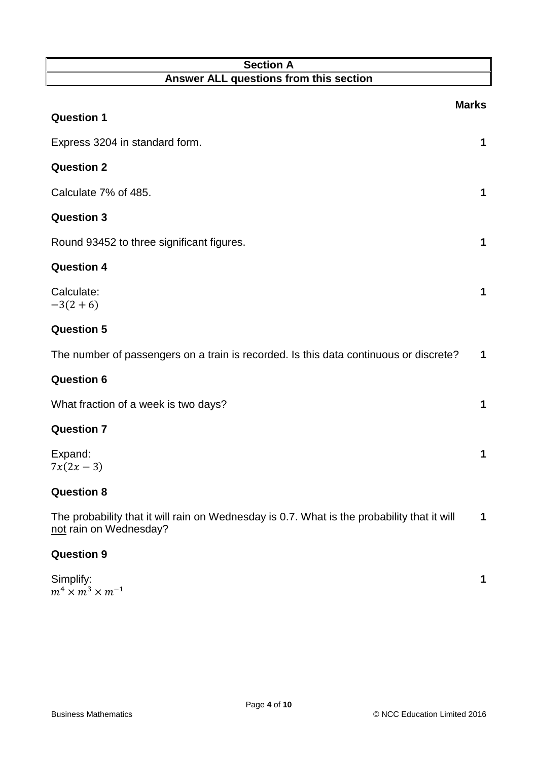| <b>Section A</b>                                                                                                      |              |
|-----------------------------------------------------------------------------------------------------------------------|--------------|
| Answer ALL questions from this section                                                                                |              |
| <b>Question 1</b>                                                                                                     | <b>Marks</b> |
|                                                                                                                       |              |
| Express 3204 in standard form.                                                                                        | 1            |
| <b>Question 2</b>                                                                                                     |              |
| Calculate 7% of 485.                                                                                                  | 1            |
| <b>Question 3</b>                                                                                                     |              |
| Round 93452 to three significant figures.                                                                             | 1            |
| <b>Question 4</b>                                                                                                     |              |
| Calculate:<br>$-3(2+6)$                                                                                               | 1            |
| <b>Question 5</b>                                                                                                     |              |
| The number of passengers on a train is recorded. Is this data continuous or discrete?                                 | 1            |
| <b>Question 6</b>                                                                                                     |              |
| What fraction of a week is two days?                                                                                  | 1            |
| <b>Question 7</b>                                                                                                     |              |
| Expand:<br>$7x(2x-3)$                                                                                                 | 1            |
| <b>Question 8</b>                                                                                                     |              |
| The probability that it will rain on Wednesday is 0.7. What is the probability that it will<br>not rain on Wednesday? | 1            |
| <b>Question 9</b>                                                                                                     |              |

| Simplify:                      |  |
|--------------------------------|--|
| $m^4 \times m^3 \times m^{-1}$ |  |

**1**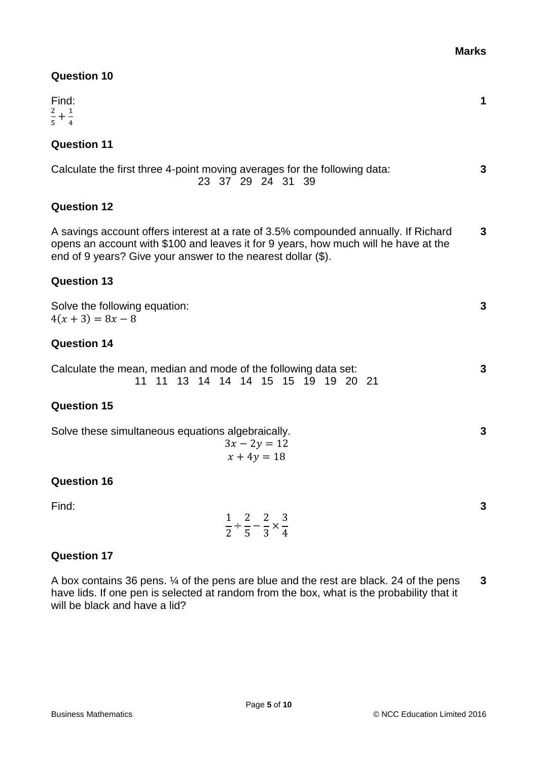| <b>Question 10</b>                                                                                                                                                                                                                         |   |
|--------------------------------------------------------------------------------------------------------------------------------------------------------------------------------------------------------------------------------------------|---|
| Find:<br>$\frac{2}{5} + \frac{1}{4}$                                                                                                                                                                                                       | 1 |
| <b>Question 11</b>                                                                                                                                                                                                                         |   |
| Calculate the first three 4-point moving averages for the following data:<br>23 37 29 24 31 39                                                                                                                                             | 3 |
| <b>Question 12</b>                                                                                                                                                                                                                         |   |
| A savings account offers interest at a rate of 3.5% compounded annually. If Richard<br>opens an account with \$100 and leaves it for 9 years, how much will he have at the<br>end of 9 years? Give your answer to the nearest dollar (\$). | 3 |
| <b>Question 13</b>                                                                                                                                                                                                                         |   |
| Solve the following equation:<br>$4(x+3) = 8x-8$                                                                                                                                                                                           | 3 |
| <b>Question 14</b>                                                                                                                                                                                                                         |   |
| Calculate the mean, median and mode of the following data set:<br>11 13 14 14 14 15 15 19 19 20 21<br>11                                                                                                                                   | 3 |
| <b>Question 15</b>                                                                                                                                                                                                                         |   |
| Solve these simultaneous equations algebraically.<br>$3x - 2y = 12$<br>$x + 4y = 18$                                                                                                                                                       | 3 |
| <b>Question 16</b>                                                                                                                                                                                                                         |   |
| Find:<br>$\frac{1}{2} \div \frac{2}{5} - \frac{2}{3} \times \frac{3}{4}$                                                                                                                                                                   | 3 |
| <b>Question 17</b>                                                                                                                                                                                                                         |   |

A box contains 36 pens. ¼ of the pens are blue and the rest are black. 24 of the pens have lids. If one pen is selected at random from the box, what is the probability that it will be black and have a lid? **3**

**Marks**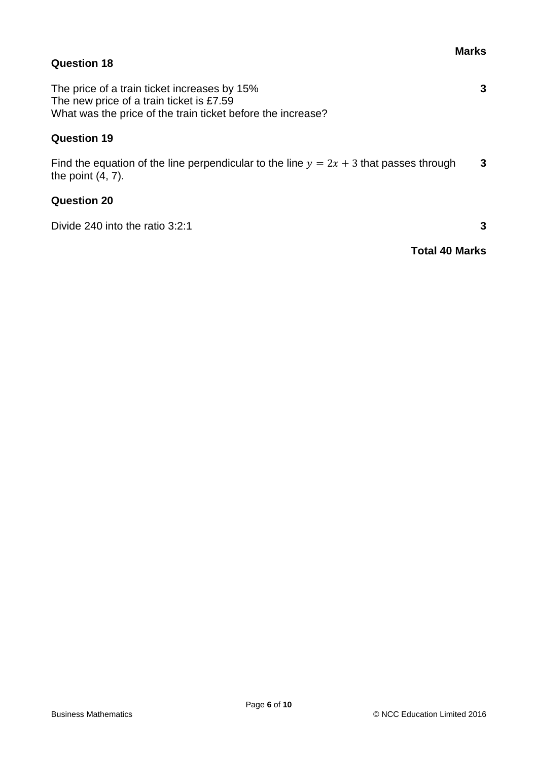#### **Marks**

**3**

#### **Question 18**

The price of a train ticket increases by 15% The new price of a train ticket is £7.59 What was the price of the train ticket before the increase?

#### **Question 19**

Find the equation of the line perpendicular to the line  $y = 2x + 3$  that passes through the point (4, 7). **3**

#### **Question 20**

Divide 240 into the ratio 3:2:1 **3** 

**Total 40 Marks**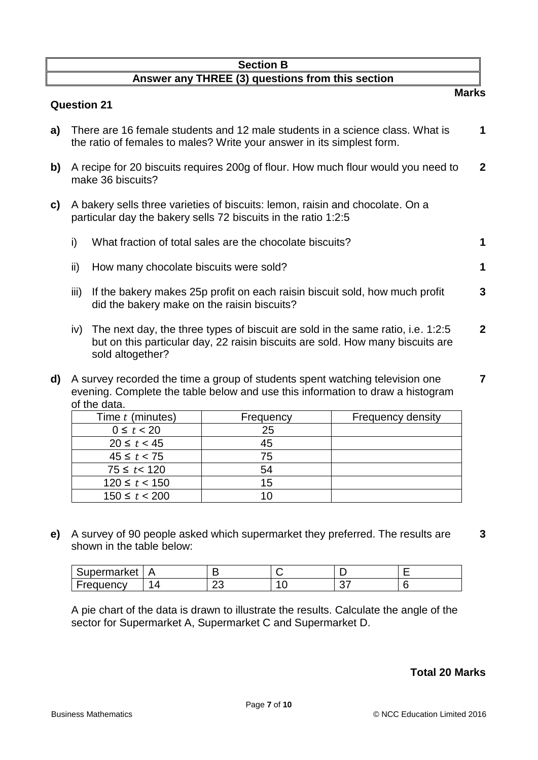#### **Section B Answer any THREE (3) questions from this section Marks**

#### **Question 21**

- **a)** There are 16 female students and 12 male students in a science class. What is the ratio of females to males? Write your answer in its simplest form. **1**
- **b)** A recipe for 20 biscuits requires 200g of flour. How much flour would you need to make 36 biscuits? **2**
- **c)** A bakery sells three varieties of biscuits: lemon, raisin and chocolate. On a particular day the bakery sells 72 biscuits in the ratio 1:2:5

|  | What fraction of total sales are the chocolate biscuits? |  |
|--|----------------------------------------------------------|--|
|--|----------------------------------------------------------|--|

- ii) How many chocolate biscuits were sold? **1**
- iii) If the bakery makes 25p profit on each raisin biscuit sold, how much profit did the bakery make on the raisin biscuits? **3**
- iv) The next day, the three types of biscuit are sold in the same ratio, i.e. 1:2:5 but on this particular day, 22 raisin biscuits are sold. How many biscuits are sold altogether? **2**
- **d)** A survey recorded the time a group of students spent watching television one evening. Complete the table below and use this information to draw a histogram of the data. **7**

| Time t (minutes)  | Frequency | <b>Frequency density</b> |
|-------------------|-----------|--------------------------|
| $0 \le t < 20$    | 25        |                          |
| $20 \le t < 45$   | 45        |                          |
| $45 \le t < 75$   | 75        |                          |
| $75 \le t < 120$  | 54        |                          |
| $120 \le t < 150$ | 15        |                          |
| $150 \le t < 200$ |           |                          |

**e)** A survey of 90 people asked which supermarket they preferred. The results are shown in the table below: **3**

| Supermarket | P |        |          |  |
|-------------|---|--------|----------|--|
| Frequency   | - | ״<br>∼ | ^¬<br>J. |  |

A pie chart of the data is drawn to illustrate the results. Calculate the angle of the sector for Supermarket A, Supermarket C and Supermarket D.

#### **Total 20 Marks**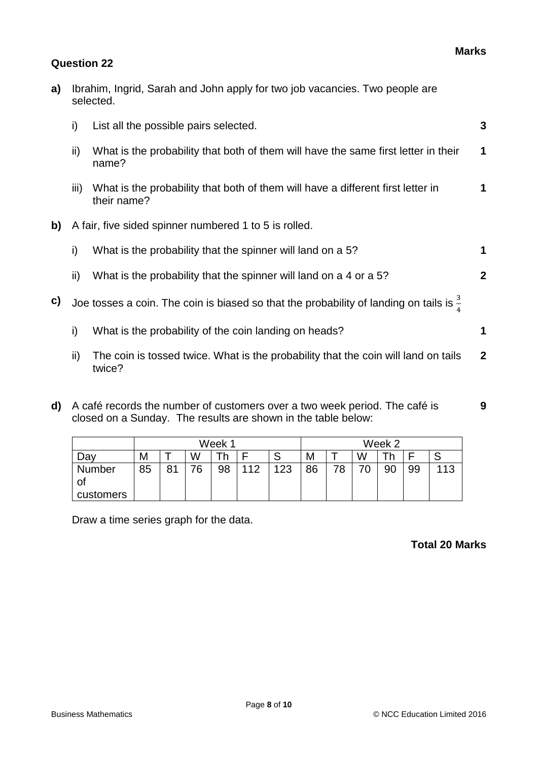#### **Question 22**

|    |                | selected.                                                                                          |              |
|----|----------------|----------------------------------------------------------------------------------------------------|--------------|
|    | i)             | List all the possible pairs selected.                                                              | 3            |
|    | ii)            | What is the probability that both of them will have the same first letter in their<br>name?        | 1            |
|    | $\mathbf{III}$ | What is the probability that both of them will have a different first letter in<br>their name?     | 1            |
| b) |                | A fair, five sided spinner numbered 1 to 5 is rolled.                                              |              |
|    | i)             | What is the probability that the spinner will land on a 5?                                         | 1            |
|    | ii)            | What is the probability that the spinner will land on a 4 or a 5?                                  | $\mathbf{2}$ |
| c) |                | Joe tosses a coin. The coin is biased so that the probability of landing on tails is $\frac{3}{5}$ |              |
|    | i)             | What is the probability of the coin landing on heads?                                              | 1            |
|    | ii)            | The coin is tossed twice. What is the probability that the coin will land on tails<br>twice?       | $\mathbf{2}$ |
|    |                |                                                                                                    |              |

**a)** Ibrahim, Ingrid, Sarah and John apply for two job vacancies. Two people are

**d)** A café records the number of customers over a two week period. The café is closed on a Sunday. The results are shown in the table below:

|              |    | Week 1 |    |    |     |     |    |    |   | Week 2 |    |     |
|--------------|----|--------|----|----|-----|-----|----|----|---|--------|----|-----|
| Dav          | M  |        | W  |    |     |     | M  |    | W |        |    |     |
| Number<br>OI | 85 | 81     | 76 | 98 | 112 | 123 | 86 | 70 | ν | 90     | 99 | 113 |
| customers    |    |        |    |    |     |     |    |    |   |        |    |     |

Draw a time series graph for the data.

#### **Total 20 Marks**

**9**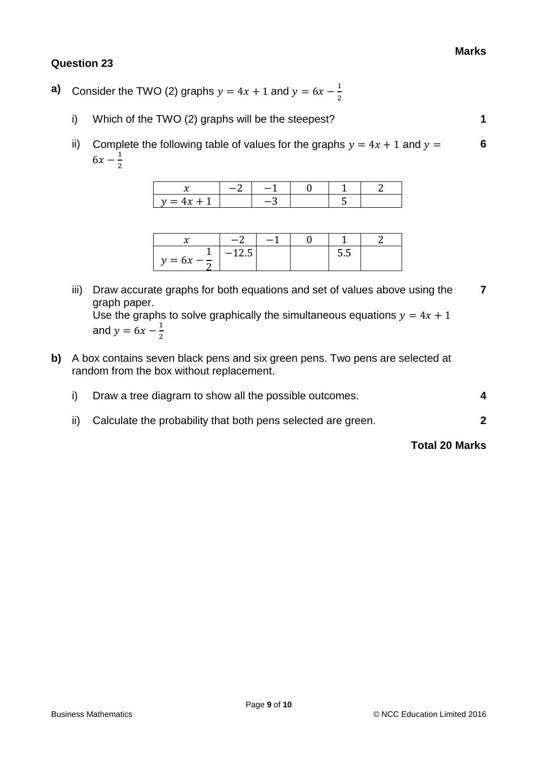#### **Question 23**

- **a)** Consider the TWO (2) graphs  $y = 4x + 1$  and  $y = 6x \frac{1}{2}$ 2
	- i) Which of the TWO (2) graphs will be the steepest? **1**
	- ii) Complete the following table of values for the graphs  $y = 4x + 1$  and  $y =$  $6x - \frac{1}{2}$ 2 **6**

| $\overline{ }$<br>$\gamma = -$<br> |  |  |  |
|------------------------------------|--|--|--|

|                        | <u>—</u> ? |  |     |  |
|------------------------|------------|--|-----|--|
| $y = 6x - \frac{1}{x}$ | ں کے ا     |  | ວ.ວ |  |

iii) Draw accurate graphs for both equations and set of values above using the graph paper. **7**

Use the graphs to solve graphically the simultaneous equations  $y = 4x + 1$ and  $y = 6x - \frac{1}{3}$ 2

- **b)** A box contains seven black pens and six green pens. Two pens are selected at random from the box without replacement.
	- i) Draw a tree diagram to show all the possible outcomes. **4**
	- ii) Calculate the probability that both pens selected are green. **2**

#### **Total 20 Marks**